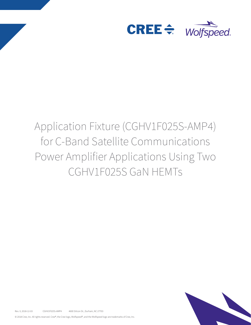

# Application Fixture (CGHV1F025S-AMP4) for C-Band Satellite Communications Power Amplifier Applications Using Two CGHV1F025S GaN HEMTs



Rev. X, 2018-12-03 CGHV1F025S-AMP4 4600 Silicon Dr., Durham, NC 27703

© 2018 Cree, Inc. All rights reserved. Cree®, the Cree logo, Wolfspeed®, and the Wolfspeed logo are trademarks of Cree, Inc.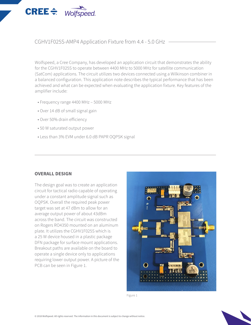

CGHV1F025S-AMP4 Application Fixture from 4.4 - 5.0 GHz

Wolfspeed, a Cree Company, has developed an application circuit that demonstrates the ability for the CGHV1F025S to operate between 4400 MHz to 5000 MHz for satellite communication (SatCom) applications. The circuit utilizes two devices connected using a Wilkinson combiner in a balanced configuration. This application note describes the typical performance that has been achieved and what can be expected when evaluating the application fixture. Key features of the amplifier include:

- Frequency range 4400 MHz 5000 MHz
- Over 14 dB of small signal gain
- Over 50% drain efficiency
- 50 W saturated output power
- Less than 3% EVM under 6.0 dB PAPR OQPSK signal

### **OVERALL DESIGN**

The design goal was to create an application circuit for tactical radio capable of operating under a constant amplitude signal such as OQPSK. Overall the required peak power target was set at 47 dBm to allow for an average output power of about 43dBm across the band. The circuit was constructed on Rogers RO4350 mounted on an aluminum plate. It utilizes the CGHV1F025S which is a 25 W device housed in a plastic package DFN package for surface mount applications. Breakout paths are available on the board to operate a single device only to applications requiring lower output power. A picture of the PCB can be seen in Figure 1.



Figure 1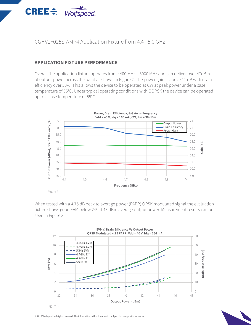

#### **APPLICATION FIXTURE PERFORMANCE**

**CREE**  $\triangleq$  Wolfspeed.

Overall the application fixture operates from 4400 MHz – 5000 MHz and can deliver over 47dBm of output power across the band as shown in Figure 2. The power gain is above 11 dB with drain efficiency over 50%. This allows the device to be operated at CW at peak power under a case temperature of 65°C. Under typical operating conditions with OQPSK the device can be operated up to a case temperature of 85°C.



When tested with a 4.75 dB peak to average power (PAPR) QPSK modulated signal the evaluation fixture shows good EVM below 2% at 43 dBm average output power. Measurement results can be seen in Figure 3.



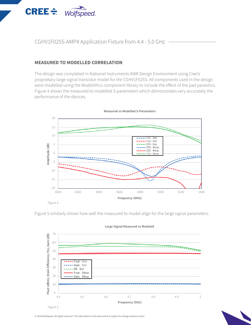

CGHV1F025S-AMP4 Application Fixture from 4.4 - 5.0 GHz

#### **MEASURED TO MODELLED CORRELATION**

The design was completed in National Instruments AWR Design Environment using Cree's proprietary large signal transistor model for the CGHV1F025S. All components used in the design were modelled using the Modelithics component library to include the effect of the pad parasitics. Figure 4 shows the measured to modelled S-parameters which demonstrates very accurately the performance of the devices.



**Measured vs Modelled S-Parameters**

Figure 5 similarly shows how well the measured to model align for the large signal parameters.



#### **Large Signal Measured vs Modeled**

© 2018 Wolfspeed. All rights reserved. The information in this document is subject to change without notice.